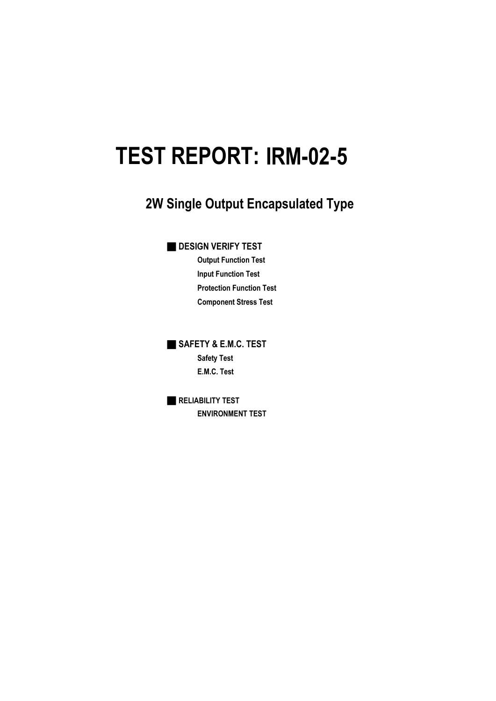# **IRM-02-5 TEST REPORT:**

## **2W Single Output Encapsulated Type**

### **DESIGN VERIFY TEST**

**Output Function Test Input Function Test Protection Function Test Component Stress Test**

■ **SAFETY & E.M.C. TEST Safety Test E.M.C. Test**

■ **RELIABILITY TEST ENVIRONMENT TEST**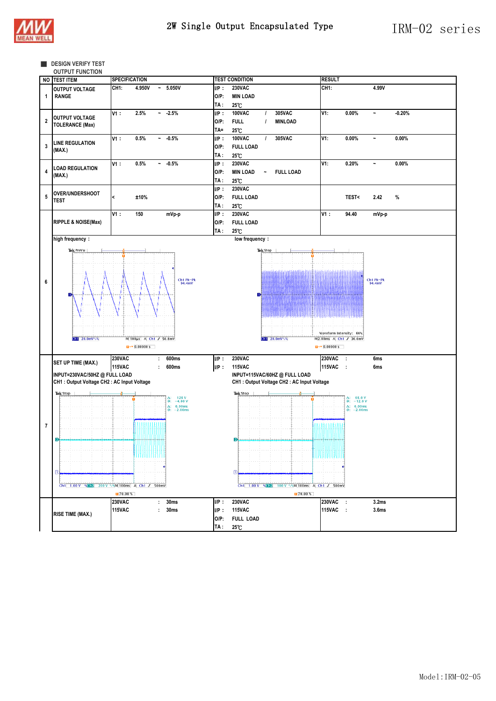





|                         | NO TEST ITEM                                                                 | SPECIFICATION    |                        |                                                               |         | <b>TEST CONDITION</b> |                                                 | <b>RESULT</b>                         |                                                  |                       |          |
|-------------------------|------------------------------------------------------------------------------|------------------|------------------------|---------------------------------------------------------------|---------|-----------------------|-------------------------------------------------|---------------------------------------|--------------------------------------------------|-----------------------|----------|
|                         | <b>OUTPUT VOLTAGE</b>                                                        | CH <sub>1:</sub> | 4.950V                 | $-5.050V$                                                     | $I/P$ : | <b>230VAC</b>         |                                                 | CH <sub>1:</sub>                      |                                                  | 4.99V                 |          |
| 1                       | <b>RANGE</b>                                                                 |                  |                        |                                                               | $O/P$ : | <b>MIN LOAD</b>       |                                                 |                                       |                                                  |                       |          |
|                         |                                                                              |                  |                        |                                                               | TA :    | 25°C                  |                                                 |                                       |                                                  |                       |          |
|                         |                                                                              | V1:              | 2.5%                   | $-2.5%$                                                       | $I/P$ : | <b>100VAC</b>         | 305VAC<br>$\prime$                              | V1:                                   | 0.00%                                            | $\tilde{}$            | $-0.20%$ |
|                         | <b>OUTPUT VOLTAGE</b>                                                        |                  |                        |                                                               |         |                       |                                                 |                                       |                                                  |                       |          |
| $\overline{\mathbf{2}}$ | <b>TOLERANCE (Max)</b>                                                       |                  |                        |                                                               | $O/P$ : | <b>FULL</b>           | <b>MINLOAD</b><br>$\prime$                      |                                       |                                                  |                       |          |
|                         |                                                                              |                  |                        |                                                               | TA=     | 25°C                  |                                                 |                                       |                                                  |                       |          |
|                         | <b>LINE REGULATION</b>                                                       | V1:              | 0.5%                   | $-0.5%$                                                       | $I/P$ : | <b>100VAC</b>         | 305VAC<br>$\prime$                              | V1:                                   | 0.00%                                            | $\tilde{\phantom{a}}$ | $0.00\%$ |
| $\overline{3}$          | (MAX.)                                                                       |                  |                        |                                                               | $O/P$ : | <b>FULL LOAD</b>      |                                                 |                                       |                                                  |                       |          |
|                         |                                                                              |                  |                        |                                                               | TA :    | 25°C                  |                                                 |                                       |                                                  |                       |          |
|                         |                                                                              | V1:              | 0.5%                   | $-0.5%$                                                       | $I/P$ : | <b>230VAC</b>         |                                                 | V1:                                   | 0.20%                                            | $\tilde{}$            | $0.00\%$ |
| $\overline{\mathbf{4}}$ | <b>LOAD REGULATION</b>                                                       |                  |                        |                                                               | $O/P$ : | <b>MIN LOAD</b>       | <b>FULL LOAD</b><br>$\ddot{\phantom{0}}$        |                                       |                                                  |                       |          |
|                         | (MAX.)                                                                       |                  |                        |                                                               | TA :    | 25°C                  |                                                 |                                       |                                                  |                       |          |
|                         |                                                                              |                  |                        |                                                               | $I/P$ : | <b>230VAC</b>         |                                                 |                                       |                                                  |                       |          |
| ${\bf 5}$               | <b>OVER/UNDERSHOOT</b>                                                       | ≺                |                        |                                                               | $O/P$ : |                       |                                                 |                                       |                                                  |                       |          |
|                         | <b>TEST</b>                                                                  |                  | ±10%                   |                                                               |         | <b>FULL LOAD</b>      |                                                 |                                       | <b>TEST&lt;</b>                                  | 2.42                  | %        |
|                         |                                                                              |                  |                        |                                                               | TA :    | $25^{\circ}$ C        |                                                 |                                       |                                                  |                       |          |
|                         |                                                                              | V1:              | 150                    | mVp-p                                                         | $I/P$ : | <b>230VAC</b>         |                                                 | V1:                                   | 94.40                                            | mVp-p                 |          |
|                         | <b>RIPPLE &amp; NOISE(Max)</b>                                               |                  |                        |                                                               | $O/P$ : | <b>FULL LOAD</b>      |                                                 |                                       |                                                  |                       |          |
|                         |                                                                              |                  |                        |                                                               | TA :    | 25°C                  |                                                 |                                       |                                                  |                       |          |
|                         | high frequency:                                                              |                  |                        |                                                               |         | low frequency:        |                                                 |                                       |                                                  |                       |          |
|                         | Tek PreVu                                                                    |                  |                        |                                                               |         |                       |                                                 |                                       |                                                  |                       |          |
|                         |                                                                              |                  |                        |                                                               |         |                       | Tek Stop                                        |                                       |                                                  |                       |          |
|                         |                                                                              |                  |                        |                                                               |         |                       |                                                 |                                       |                                                  |                       |          |
|                         |                                                                              |                  |                        |                                                               |         |                       |                                                 |                                       |                                                  |                       |          |
|                         |                                                                              |                  |                        | Ch1 Pk-Pk                                                     |         |                       |                                                 |                                       |                                                  |                       |          |
| 6                       |                                                                              |                  |                        | 94.4mV                                                        |         |                       |                                                 |                                       |                                                  | Ch1 Pk-Pk<br>94.4mV   |          |
|                         | n                                                                            |                  |                        |                                                               |         | Dİ                    |                                                 |                                       |                                                  |                       |          |
|                         |                                                                              |                  |                        |                                                               |         |                       |                                                 |                                       |                                                  |                       |          |
|                         |                                                                              |                  |                        |                                                               |         |                       |                                                 |                                       |                                                  |                       |          |
|                         |                                                                              |                  |                        |                                                               |         |                       |                                                 |                                       |                                                  |                       |          |
|                         |                                                                              |                  |                        |                                                               |         |                       |                                                 |                                       |                                                  |                       |          |
|                         |                                                                              |                  |                        |                                                               |         |                       |                                                 | Waveform Intensity: 66%               |                                                  |                       |          |
|                         | $\boxed{d  1}$ 20.0mV \ \                                                    |                  | M 100us A Ch1 / 50.8mV |                                                               |         |                       | $G11 20.0 mV \sqrt{6}$                          | M2.00ms A Ch1 / 36.0mV                |                                                  |                       |          |
|                         |                                                                              |                  | $1 + 80.00000$ s       |                                                               |         |                       |                                                 | $\overline{u}$ <sup>+</sup> 0.00000 s |                                                  |                       |          |
|                         |                                                                              |                  |                        |                                                               |         | <b>230VAC</b>         |                                                 |                                       |                                                  |                       |          |
|                         | SET UP TIME (MAX.)                                                           | <b>230VAC</b>    | $\ddot{\phantom{a}}$   | 600ms                                                         | $I/P$ : |                       |                                                 | <b>230VAC</b>                         | $\cdot$                                          | 6ms                   |          |
|                         |                                                                              | <b>115VAC</b>    |                        | 600ms                                                         | $I/P$ : | <b>115VAC</b>         |                                                 | <b>115VAC</b>                         |                                                  | 6ms                   |          |
|                         | INPUT=230VAC/50HZ @ FULL LOAD<br>CH1 : Output Voltage CH2 : AC Input Voltage |                  |                        |                                                               |         |                       | INPUT=115VAC/60HZ @ FULL LOAD                   |                                       |                                                  |                       |          |
|                         |                                                                              |                  |                        |                                                               |         |                       | CH1 : Output Voltage CH2 : AC Input Voltage     |                                       |                                                  |                       |          |
|                         | Tek Stop                                                                     |                  |                        |                                                               |         | Tek Stop              |                                                 |                                       |                                                  |                       |          |
|                         |                                                                              |                  |                        | $128 V$<br>-4.00 V<br>습:                                      |         |                       |                                                 |                                       | $\Delta$ : 68.0 V<br>@: -12.0 V                  |                       |          |
|                         |                                                                              |                  |                        | $\Delta: 6.00 \text{ms}$<br>$@: -2.00 \text{ms}$<br>$-2.00ms$ |         |                       |                                                 |                                       | $\Delta: 6.00 \text{ms}$<br>$@: -2.00 \text{ms}$ |                       |          |
|                         |                                                                              |                  |                        |                                                               |         |                       |                                                 |                                       |                                                  |                       |          |
| $\overline{7}$          |                                                                              |                  | .                      |                                                               |         |                       |                                                 |                                       |                                                  |                       |          |
|                         |                                                                              |                  |                        |                                                               |         |                       |                                                 |                                       |                                                  |                       |          |
|                         | D                                                                            |                  |                        |                                                               |         | $\mathbf{P}$          | <u>makanakana kanadana dina da</u>              |                                       |                                                  |                       |          |
|                         |                                                                              |                  |                        |                                                               |         |                       |                                                 |                                       |                                                  |                       |          |
|                         |                                                                              |                  | ասա                    |                                                               |         |                       |                                                 | THINIHI                               |                                                  |                       |          |
|                         |                                                                              |                  |                        |                                                               |         |                       |                                                 |                                       |                                                  |                       |          |
|                         | $\mathbb{D}$                                                                 |                  |                        |                                                               |         | σ                     |                                                 |                                       |                                                  |                       |          |
|                         |                                                                              |                  |                        |                                                               |         |                       |                                                 |                                       |                                                  |                       |          |
|                         | Ch1 1.00 V Veh2 200 V VWM 100ms A Ch1 / 500mV                                |                  |                        |                                                               |         |                       | Ch1 1.00 V % Ch2 100 V \% M 100ms A Ch1 / 500mV |                                       |                                                  |                       |          |
|                         |                                                                              | 70.00%           |                        |                                                               |         |                       | 170.00%                                         |                                       |                                                  |                       |          |
|                         |                                                                              | 230VAC           |                        | : 30ms                                                        | $I/P$ : | <b>230VAC</b>         |                                                 | 230VAC :                              |                                                  | 3.2 <sub>ms</sub>     |          |
|                         |                                                                              | <b>115VAC</b>    | ÷                      | 30 <sub>ms</sub>                                              | $I/P$ : | <b>115VAC</b>         |                                                 | 115VAC :                              |                                                  | 3.6 <sub>ms</sub>     |          |
|                         | <b>RISE TIME (MAX.)</b>                                                      |                  |                        |                                                               | $O/P$ : | <b>FULL LOAD</b>      |                                                 |                                       |                                                  |                       |          |
|                         |                                                                              |                  |                        |                                                               | TA :    | 25°C                  |                                                 |                                       |                                                  |                       |          |
|                         |                                                                              |                  |                        |                                                               |         |                       |                                                 |                                       |                                                  |                       |          |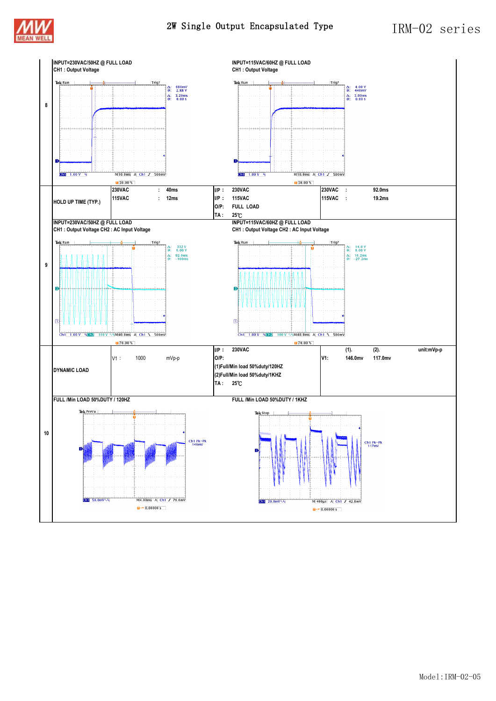

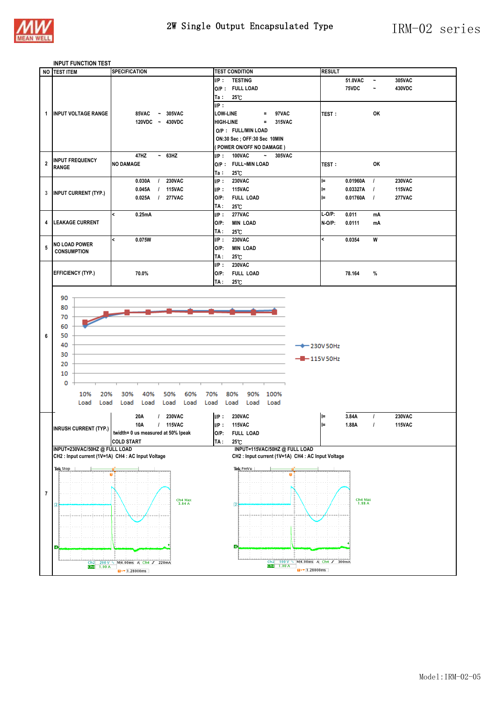

## 2W Single Output Encapsulated Type  $\sqrt{1\text{RM}-0.2\text{series}}$

#### **INPUT FUNCTION TEST**

|                | <b>NO TEST ITEM</b>                                | <b>SPECIFICATION</b>                      | <b>TEST CONDITION</b>                                 | <b>RESULT</b>            |                 |                                 |  |
|----------------|----------------------------------------------------|-------------------------------------------|-------------------------------------------------------|--------------------------|-----------------|---------------------------------|--|
|                |                                                    |                                           | <b>TESTING</b><br>$I/P$ :                             |                          | 51.0VAC         | 305VAC<br>$\tilde{\phantom{a}}$ |  |
|                |                                                    |                                           | O/P: FULL LOAD                                        |                          | 75VDC           | 430VDC<br>$\tilde{\phantom{a}}$ |  |
|                |                                                    |                                           | 25°C<br>Ta ∶                                          |                          |                 |                                 |  |
|                |                                                    |                                           | $I/P$ :                                               |                          |                 |                                 |  |
|                |                                                    |                                           |                                                       |                          |                 |                                 |  |
| $\mathbf{1}$   | <b>INPUT VOLTAGE RANGE</b>                         | 85VAC<br>$~\sim$ 305VAC                   | <b>LOW-LINE</b><br>97VAC<br>$=$                       | TEST:                    |                 | OK                              |  |
|                |                                                    | 120VDC ~ 430VDC                           | <b>HIGH-LINE</b><br>315VAC<br>$\equiv$                |                          |                 |                                 |  |
|                |                                                    |                                           | O/P: FULL/MIN LOAD                                    |                          |                 |                                 |  |
|                |                                                    |                                           | ON:30 Sec; OFF:30 Sec 10MIN                           |                          |                 |                                 |  |
|                |                                                    |                                           | (POWER ON/OFF NO DAMAGE )                             |                          |                 |                                 |  |
|                |                                                    | 47HZ<br>$~\sim~$ 63HZ                     | <b>100VAC</b><br>IP:<br>$\sim$ $-$<br>305VAC          |                          |                 |                                 |  |
| $\overline{2}$ | <b>INPUT FREQUENCY</b>                             | <b>NO DAMAGE</b>                          | O/P: FULL~MIN LOAD                                    | TEST:                    |                 | OK                              |  |
|                | <b>RANGE</b>                                       |                                           | 25°C<br>Ta :                                          |                          |                 |                                 |  |
|                |                                                    | <b>230VAC</b><br>0.030A<br>$\prime$       | <b>230VAC</b><br>$I/P$ :                              | l=                       | 0.01960A        | <b>230VAC</b><br>$\overline{1}$ |  |
|                |                                                    |                                           |                                                       |                          |                 | <b>115VAC</b>                   |  |
|                | 3 <b>INPUT CURRENT (TYP.)</b>                      | 0.045A<br><b>115VAC</b><br>$\prime$       | UP:<br><b>115VAC</b>                                  | l=                       | 0.03327A        | $\overline{1}$                  |  |
|                |                                                    | 0.025A<br><b>277VAC</b><br>$\prime$       | $O/P$ :<br><b>FULL LOAD</b>                           | E                        | 0.01760A        | $\overline{1}$<br><b>277VAC</b> |  |
|                |                                                    |                                           | 25°C<br>TA :                                          |                          |                 |                                 |  |
|                |                                                    | 0.25mA<br><                               | <b>277VAC</b><br>IP:                                  | $L-O/P$ :                | 0.011           | mΑ                              |  |
| 4              | <b>LEAKAGE CURRENT</b>                             |                                           | $O/P$ :<br><b>MIN LOAD</b>                            | $N-O/P$ :                | 0.0111          | mΑ                              |  |
|                |                                                    |                                           | 25°C<br>TA :                                          |                          |                 |                                 |  |
|                |                                                    | 0.075W<br><                               | $I/P$ :<br><b>230VAC</b>                              | $\overline{\phantom{a}}$ | 0.0354          | W                               |  |
| 5              | <b>NO LOAD POWER</b>                               |                                           | $O/P$ :<br><b>MIN LOAD</b>                            |                          |                 |                                 |  |
|                | <b>CONSUMPTION</b>                                 |                                           |                                                       |                          |                 |                                 |  |
|                |                                                    |                                           | TA :<br>25°C                                          |                          |                 |                                 |  |
|                |                                                    |                                           | <b>230VAC</b><br>$I/P$ :                              |                          |                 |                                 |  |
|                | <b>EFFICIENCY (TYP.)</b>                           | 70.0%                                     | $O/P$ :<br><b>FULL LOAD</b>                           |                          | 78.164          | %                               |  |
|                |                                                    |                                           | 25°C<br>TA :                                          |                          |                 |                                 |  |
|                |                                                    |                                           |                                                       |                          |                 |                                 |  |
|                | 90                                                 |                                           |                                                       |                          |                 |                                 |  |
|                | 80                                                 |                                           |                                                       |                          |                 |                                 |  |
|                | 70                                                 |                                           |                                                       |                          |                 |                                 |  |
|                |                                                    |                                           |                                                       |                          |                 |                                 |  |
|                | 60                                                 |                                           |                                                       |                          |                 |                                 |  |
| 6              | 50                                                 |                                           |                                                       |                          |                 |                                 |  |
|                | 40                                                 |                                           |                                                       | $\rightarrow$ 230V 50Hz  |                 |                                 |  |
|                | 30                                                 |                                           |                                                       |                          |                 |                                 |  |
|                |                                                    |                                           | <b>-B</b> - 115V 50Hz                                 |                          |                 |                                 |  |
|                | 20                                                 |                                           |                                                       |                          |                 |                                 |  |
|                | 10                                                 |                                           |                                                       |                          |                 |                                 |  |
|                | 0                                                  |                                           |                                                       |                          |                 |                                 |  |
|                |                                                    |                                           |                                                       |                          |                 |                                 |  |
|                | 10%<br>20%                                         | 30%<br>40%<br>50%<br>60%                  | 70%<br>80%<br>90%<br>100%                             |                          |                 |                                 |  |
|                | Load<br>Load                                       | Load<br>Load<br>Load<br>Load              | Load<br>Load<br>Load<br>Load                          |                          |                 |                                 |  |
|                |                                                    |                                           |                                                       |                          |                 |                                 |  |
|                |                                                    | <b>230VAC</b><br>20A                      | <b>230VAC</b><br>$I/P$ :                              | l=                       | 3.84A           | <b>230VAC</b><br>$\overline{I}$ |  |
|                | <b>INRUSH CURRENT (TYP.)</b>                       | 10A<br>/ 115VAC                           | <b>115VAC</b><br>IP:                                  | l=                       | 1.88A           | <b>115VAC</b><br>$\overline{I}$ |  |
|                |                                                    | twidth= 0 us measured at 50% lpeak        | O/P:<br><b>FULL LOAD</b>                              |                          |                 |                                 |  |
|                |                                                    | <b>COLD START</b>                         | $TA: 25^{\circ}C$                                     |                          |                 |                                 |  |
|                | INPUT=230VAC/50HZ @ FULL LOAD                      |                                           | INPUT=115VAC/50HZ @ FULL LOAD                         |                          |                 |                                 |  |
|                | CH2 : Input current (1V=1A) CH4 : AC Input Voltage |                                           | CH2: Input current (1V=1A) CH4: AC Input Voltage      |                          |                 |                                 |  |
|                | Tek Stop                                           |                                           | Tek PreVu                                             |                          |                 |                                 |  |
|                |                                                    |                                           |                                                       |                          |                 |                                 |  |
|                |                                                    |                                           |                                                       |                          |                 |                                 |  |
|                |                                                    |                                           |                                                       |                          |                 |                                 |  |
| $\overline{7}$ |                                                    |                                           |                                                       |                          |                 |                                 |  |
|                |                                                    | Ch4 Max $3.84 A$                          | $\overline{2}$                                        |                          | Ch4 Max $1.88A$ |                                 |  |
|                |                                                    |                                           |                                                       |                          |                 |                                 |  |
|                |                                                    |                                           |                                                       |                          |                 |                                 |  |
|                |                                                    |                                           |                                                       |                          |                 |                                 |  |
|                |                                                    |                                           |                                                       |                          |                 |                                 |  |
|                |                                                    |                                           |                                                       |                          |                 |                                 |  |
|                |                                                    |                                           | Đ                                                     |                          |                 |                                 |  |
|                |                                                    |                                           |                                                       |                          |                 |                                 |  |
|                |                                                    | Ch2 200 V \ M 4.00ms A Ch4 f 220mA        | 100 V $\sim$<br>Ch2                                   | M4.00ms A Ch4 J 300mA    |                 |                                 |  |
|                |                                                    | $\overline{u}$ + $\overline{v}$ 1.28000ms | $ChC$ 1.00 A<br>$\overline{u}$ <sup>+</sup> 1.28000ms |                          |                 |                                 |  |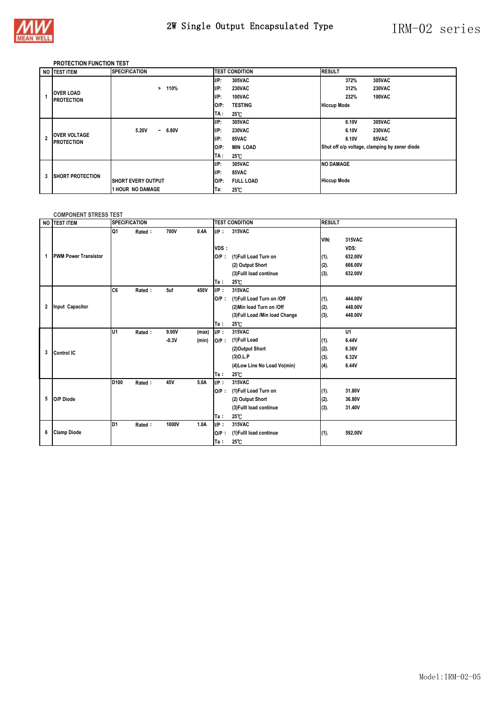

#### **PROTECTION FUNCTION TEST**

|   | NO TEST ITEM                             | <b>SPECIFICATION</b>                    |                | <b>TEST CONDITION</b> | <b>RESULT</b>      |       |                                               |
|---|------------------------------------------|-----------------------------------------|----------------|-----------------------|--------------------|-------|-----------------------------------------------|
|   |                                          |                                         | UP:            | 305VAC                |                    | 372%  | 305VAC                                        |
|   |                                          | 110%<br>>                               | UP:            | <b>230VAC</b>         |                    | 312%  | <b>230VAC</b>                                 |
|   | <b>OVER LOAD</b><br><b>PROTECTION</b>    |                                         | I/P:           | 100VAC                |                    | 232%  | 100VAC                                        |
|   |                                          |                                         | $O/P$ :        | <b>TESTING</b>        | <b>Hiccup Mode</b> |       |                                               |
|   |                                          |                                         | TA :           | $25^{\circ}$ C        |                    |       |                                               |
|   |                                          |                                         | $\mathsf{IP}:$ | 305VAC                |                    | 6.10V | 305VAC                                        |
|   |                                          | 5.20V<br>6.80V<br>$\tilde{\phantom{a}}$ | I/P:           | <b>230VAC</b>         |                    | 6.10V | <b>230VAC</b>                                 |
|   | <b>OVER VOLTAGE</b><br><b>PROTECTION</b> |                                         | I/P:           | 85VAC                 |                    | 6.10V | 85VAC                                         |
|   |                                          |                                         | $O/P$ :        | <b>MIN LOAD</b>       |                    |       | Shut off o/p voltage, clamping by zener diode |
|   |                                          |                                         | TA :           | $25^{\circ}$ C        |                    |       |                                               |
|   |                                          |                                         | UP:            | 305VAC                | <b>NO DAMAGE</b>   |       |                                               |
| 3 | <b>ISHORT PROTECTION</b>                 |                                         | I/P:           | 85VAC                 |                    |       |                                               |
|   |                                          | <b>ISHORT EVERY OUTPUT</b>              | $O/P$ :        | <b>FULL LOAD</b>      | <b>Hiccup Mode</b> |       |                                               |
|   |                                          | 1 HOUR NO DAMAGE                        | Ta:            | $25^{\circ}$ C        |                    |       |                                               |

#### **COMPONENT STRESS TEST**

|   | NO TEST ITEM                | <b>SPECIFICATION</b> |        |         |       | <b>RESULT</b><br><b>TEST CONDITION</b> |                                |      |                |
|---|-----------------------------|----------------------|--------|---------|-------|----------------------------------------|--------------------------------|------|----------------|
|   |                             | Q1                   | Rated: | 700V    | 0.4A  | $I/P$ :<br>VDS:                        | 315VAC                         | VIN: | 315VAC<br>VDS: |
|   | <b>PWM Power Transistor</b> |                      |        |         |       | $O/P$ :                                | (1)Full Load Turn on           | (1). | 632.00V        |
|   |                             |                      |        |         |       |                                        | (2) Output Short               | (2). | 666.00V        |
|   |                             |                      |        |         |       |                                        | (3) Fulll load continue        | (3). | 632.00V        |
|   |                             |                      |        |         |       | Ta:                                    | 25°C                           |      |                |
|   |                             | C6                   | Rated: | 5uf     | 450V  | IP:                                    | 315VAC                         |      |                |
|   |                             |                      |        |         |       | $O/P$ :                                | (1)Full Load Turn on /Off      | (1). | 444.00V        |
| 2 | Input Capacitor             |                      |        |         |       |                                        | (2) Min load Turn on /Off      | (2). | 448.00V        |
|   |                             |                      |        |         |       |                                        | (3) Full Load /Min load Change | (3). | 448.00V        |
|   |                             |                      |        |         |       | Ta:                                    | 25 C                           |      |                |
|   |                             | lU1                  | Rated: | 9.00V   | (max) | $I/P$ :                                | 315VAC                         |      | U1             |
|   |                             |                      |        | $-0.3V$ | (min) | $O/P$ :                                | (1)Full Load                   | (1). | 6.44V          |
| 3 | <b>Control IC</b>           |                      |        |         |       |                                        | (2)Output Short                | (2). | 6.36V          |
|   |                             |                      |        |         |       |                                        | $(3)$ O.L.P                    | (3). | 6.32V          |
|   |                             |                      |        |         |       |                                        | (4) Low Line No Load Vo(min)   | (4). | 6.44V          |
|   |                             |                      |        |         |       | Ta:                                    | 25℃                            |      |                |
|   |                             | D100                 | Rated: | 45V     | 5.0A  | UP:                                    | 315VAC                         |      |                |
|   |                             |                      |        |         |       | $O/P$ :                                | (1)Full Load Turn on           | (1). | 31.80V         |
| 5 | O/P Diode                   |                      |        |         |       |                                        | (2) Output Short               | (2). | 36.80V         |
|   |                             |                      |        |         |       |                                        | (3) Fulll load continue        | (3). | 31.40V         |
|   |                             |                      |        |         |       | Ta:                                    | 25 C                           |      |                |
|   |                             | ID1                  | Rated: | 1000V   | 1.0A  | IP:                                    | 315VAC                         |      |                |
| 6 | <b>Clamp Diode</b>          |                      |        |         |       | $O/P$ :                                | (1) Fulll load continue        | (1). | 592.00V        |
|   |                             |                      |        |         |       | Ta :                                   | 25°C                           |      |                |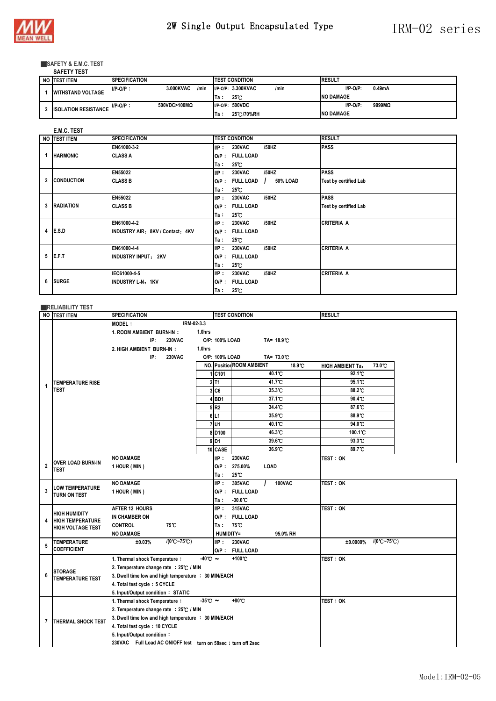

#### ■**SAFETY & E.M.C. TEST SAFETY TEST**

| SAFEII IESI                 |                       |                   |                            |                       |
|-----------------------------|-----------------------|-------------------|----------------------------|-----------------------|
| NO TEST ITEM                | <b>ISPECIFICATION</b> |                   | <b>ITEST CONDITION</b>     | <b>RESULT</b>         |
| <b>WITHSTAND VOLTAGE</b>    | $I/P-O/P$ :           | 3.000KVAC<br>/min | I/P-O/P: 3.300KVAC<br>/min | $I/P-O/P$ :<br>0.49mA |
|                             |                       |                   | $25^\circ$<br>lTa ∶        | <b>NO DAMAGE</b>      |
| <b>ISOLATION RESISTANCE</b> | $I/P-O/P$ :           | 500VDC>100MΩ      | I/P-O/P: 500VDC            | 9999MQ<br>$I/P-O/P$ : |
|                             |                       |                   | 25 C /70%RH<br>Ta:         | <b>NO DAMAGE</b>      |

#### **E.M.C. TEST**

|   | NO TEST ITEM      | <b>SPECIFICATION</b>             |         | <b>TEST CONDITION</b> |                 | <b>RESULT</b>                |
|---|-------------------|----------------------------------|---------|-----------------------|-----------------|------------------------------|
|   |                   | EN61000-3-2                      | IP:     | <b>230VAC</b>         | /50HZ           | <b>PASS</b>                  |
|   | <b>HARMONIC</b>   | <b>CLASS A</b>                   | $O/P$ : | <b>FULL LOAD</b>      |                 |                              |
|   |                   |                                  | Ta:     | 25°C                  |                 |                              |
|   |                   | EN55022                          | $I/P$ : | <b>230VAC</b>         | /50HZ           | <b>PASS</b>                  |
| 2 | <b>CONDUCTION</b> | <b>CLASS B</b>                   | $O/P$ : | <b>FULL LOAD</b>      | 50% LOAD<br>- 1 | <b>Test by certified Lab</b> |
|   |                   |                                  | Ta:     | $25^{\circ}$ C        |                 |                              |
|   |                   | EN55022                          | $I/P$ : | <b>230VAC</b>         | /50HZ           | <b>PASS</b>                  |
| 3 | <b>RADIATION</b>  | <b>CLASS B</b>                   | $O/P$ : | <b>FULL LOAD</b>      |                 | <b>Test by certified Lab</b> |
|   |                   |                                  | Ta:     | 25°C                  |                 |                              |
|   |                   | EN61000-4-2                      | IP:     | <b>230VAC</b>         | /50HZ           | <b>CRITERIA A</b>            |
| 4 | E.S.D             | INDUSTRY AIR: 8KV / Contact: 4KV | $O/P$ : | <b>FULL LOAD</b>      |                 |                              |
|   |                   |                                  | Ta:     | 25°C                  |                 |                              |
|   |                   | EN61000-4-4                      | $I/P$ : | <b>230VAC</b>         | /50HZ           | <b>CRITERIA A</b>            |
| 5 | E.F.T             | <b>INDUSTRY INPUT: 2KV</b>       | $O/P$ : | <b>FULL LOAD</b>      |                 |                              |
|   |                   |                                  | Ta ∶    | $25^\circ$ C          |                 |                              |
|   |                   | IEC61000-4-5                     | $I/P$ : | <b>230VAC</b>         | /50HZ           | <b>CRITERIA A</b>            |
| 6 | <b>SURGE</b>      | <b>INDUSTRY L-N: 1KV</b>         | $O/P$ : | <b>FULL LOAD</b>      |                 |                              |
|   |                   |                                  | Ta :    | 25°C                  |                 |                              |

|                | <b>RELIABILITY TEST</b>                                                                                                                                                       |                                                                                                                                                                                                                                                                 |                            |                                                                                                        |                                                                                                                                                              |                                                                                                |  |  |  |  |
|----------------|-------------------------------------------------------------------------------------------------------------------------------------------------------------------------------|-----------------------------------------------------------------------------------------------------------------------------------------------------------------------------------------------------------------------------------------------------------------|----------------------------|--------------------------------------------------------------------------------------------------------|--------------------------------------------------------------------------------------------------------------------------------------------------------------|------------------------------------------------------------------------------------------------|--|--|--|--|
|                | NO <b>ITEST ITEM</b>                                                                                                                                                          | <b>SPECIFICATION</b>                                                                                                                                                                                                                                            |                            |                                                                                                        | <b>TEST CONDITION</b>                                                                                                                                        | <b>RESULT</b>                                                                                  |  |  |  |  |
| 1              | IRM-02-3.3<br><b>MODEL:</b><br>1. ROOM AMBIENT BURN-IN:<br>IP:<br><b>230VAC</b><br>2. HIGH AMBIENT BURN-IN:<br>IP:<br><b>230VAC</b><br><b>TEMPERATURE RISE</b><br><b>TEST</b> |                                                                                                                                                                                                                                                                 | $1.0$ hrs<br>1.0hrs<br>6L1 | O/P: 100% LOAD<br>O/P: 100% LOAD<br>1 C101<br>$2$ T <sub>1</sub><br>3C6<br>$4$ BD1<br>5 R <sub>2</sub> | TA= 18.9°C<br>TA= 73.0°C<br><b>NO. Position ROOM AMBIENT</b><br>18.9 C<br>40.1 C<br>41.7 <sup>°</sup> C<br>35.3 C<br>37.1 <sup>°</sup> C<br>34.4 C<br>35.9 C | 73.0 C<br><b>HIGH AMBIENT Ta:</b><br>92.1 C<br>95.1 C<br>88.2 C<br>90.4 °C<br>87.6 C<br>88.9 C |  |  |  |  |
|                |                                                                                                                                                                               |                                                                                                                                                                                                                                                                 |                            | 7U1<br>8D <sub>100</sub><br>$9$ D <sub>1</sub><br>10 CASE                                              | 40.1 C<br>46.3 C<br>39.6°C<br>36.9°C                                                                                                                         | 94.0 C<br>100.1°C<br>93.3 C<br>89.7 C                                                          |  |  |  |  |
| $\overline{2}$ | <b>OVER LOAD BURN-IN</b><br>TEST                                                                                                                                              | <b>NO DAMAGE</b><br>1 HOUR (MIN)                                                                                                                                                                                                                                |                            | IP:<br>Ta:                                                                                             | <b>230VAC</b><br>O/P: 275.00%<br>LOAD<br>25 C                                                                                                                | <b>TEST: OK</b>                                                                                |  |  |  |  |
| 3              | LOW TEMPERATURE<br>TURN ON TEST                                                                                                                                               | <b>NO DAMAGE</b><br>1 HOUR (MIN)                                                                                                                                                                                                                                |                            | UP:<br>Ta:                                                                                             | <b>100VAC</b><br>305VAC<br>O/P: FULL LOAD<br>$-30.0$ C                                                                                                       | <b>TEST: OK</b>                                                                                |  |  |  |  |
| 4              | <b>HIGH HUMIDITY</b><br><b>HIGH TEMPERATURE</b><br><b>HIGH VOLTAGE TEST</b>                                                                                                   | AFTER 12 HOURS<br>IN CHAMBER ON<br><b>CONTROL</b><br>75°C<br><b>NO DAMAGE</b>                                                                                                                                                                                   |                            | UP:<br>Ta:<br>HUMIDITY=                                                                                | 315VAC<br>O/P: FULL LOAD<br>75 C<br>95.0% RH                                                                                                                 | <b>TEST: OK</b>                                                                                |  |  |  |  |
| 5              | <b>TEMPERATURE</b><br><b>COEFFICIENT</b>                                                                                                                                      | $/(0^{\circ}C - 75^{\circ}C)$<br>±0.03%                                                                                                                                                                                                                         |                            | $I/P$ :                                                                                                | <b>230VAC</b><br>O/P: FULL LOAD                                                                                                                              | $/(0^\circ$ C~75°C)<br>±0.0000%                                                                |  |  |  |  |
| 6              | <b>STORAGE</b><br><b>TEMPERATURE TEST</b>                                                                                                                                     | 1. Thermal shock Temperature:<br>2. Temperature change rate : 25°C / MIN<br>3. Dwell time low and high temperature : 30 MIN/EACH<br>4. Total test cycle: 5 CYCLE<br>5. Input/Output condition: STATIC                                                           | $-40^\circ$ C ~            |                                                                                                        | +100°C                                                                                                                                                       | <b>TEST: OK</b>                                                                                |  |  |  |  |
| 7              | THERMAL SHOCK TEST                                                                                                                                                            | 1. Thermal shock Temperature:<br>2. Temperature change rate : 25°C / MIN<br>3. Dwell time low and high temperature : 30 MIN/EACH<br>4. Total test cycle: 10 CYCLE<br>5. Input/Output condition:<br>230VAC Full Load AC ON/OFF test turn on 58sec; turn off 2sec | $-35C$ $\sim$              |                                                                                                        | +80°C                                                                                                                                                        | <b>TEST: OK</b>                                                                                |  |  |  |  |